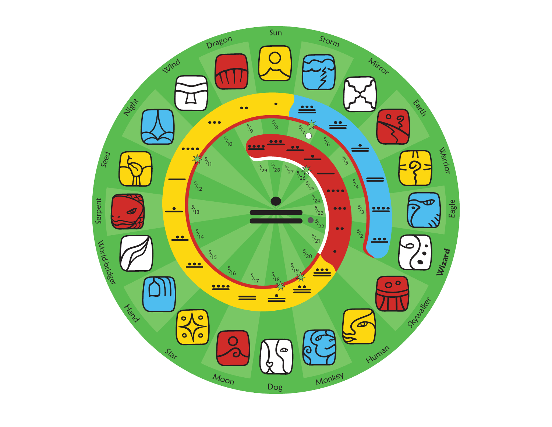